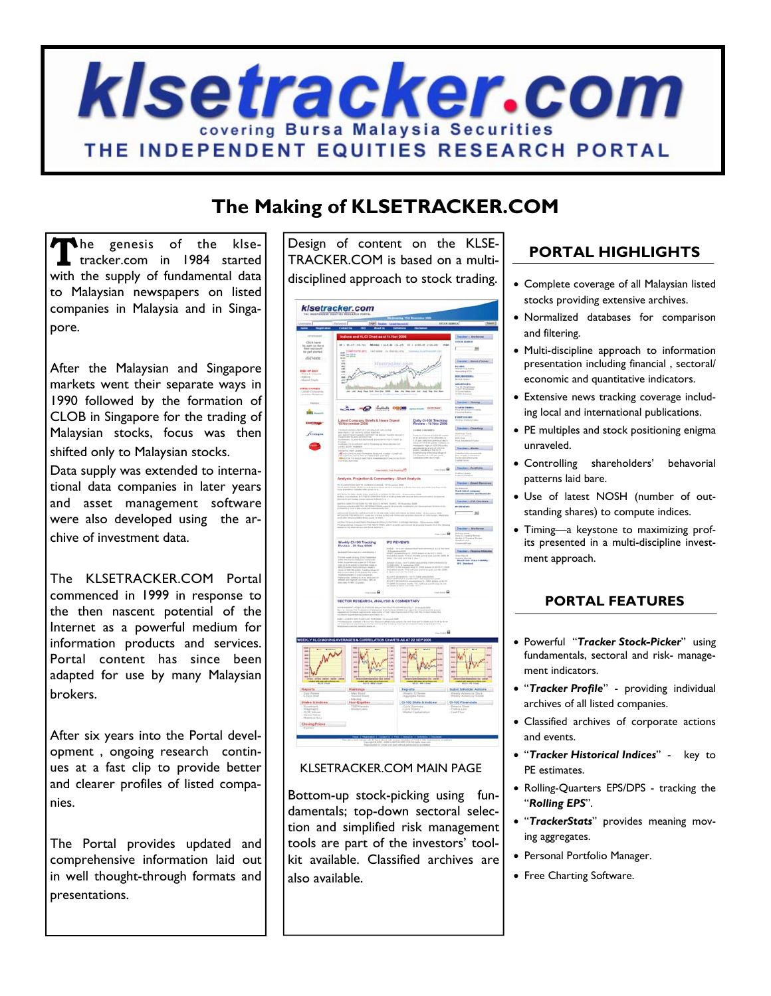

# **The Making of KLSETRACKER.COM**

The genesis of the klse-<br>tracker.com in 1984 started with the supply of fundamental data to Malaysian newspapers on listed companies in Malaysia and in Singapore.

After the Malaysian and Singapore markets went their separate ways in 1990 followed by the formation of CLOB in Singapore for the trading of Malaysian stocks, focus was then shifted only to Malaysian stocks.

Data supply was extended to international data companies in later years and asset management software were also developed using the archive of investment data.

The KLSETRACKER.COM Portal commenced in 1999 in response to the then nascent potential of the Internet as a powerful medium for information products and services. Portal content has since been adapted for use by many Malaysian brokers.

After six years into the Portal development , ongoing research continues at a fast clip to provide better and clearer profiles of listed companies.

The Portal provides updated and comprehensive information laid out in well thought-through formats and presentations.

Design of content on the KLSE-TRACKER.COM is based on a multidisciplined approach to stock trading.

|                                                                                                                                                                                                                                                                   |                                        | <b>STOCK MARCH</b>                                                                                                                                                                                                                                                                                                                                                                                                                                                                                    |                                                                      |
|-------------------------------------------------------------------------------------------------------------------------------------------------------------------------------------------------------------------------------------------------------------------|----------------------------------------|-------------------------------------------------------------------------------------------------------------------------------------------------------------------------------------------------------------------------------------------------------------------------------------------------------------------------------------------------------------------------------------------------------------------------------------------------------------------------------------------------------|----------------------------------------------------------------------|
|                                                                                                                                                                                                                                                                   |                                        |                                                                                                                                                                                                                                                                                                                                                                                                                                                                                                       |                                                                      |
| Scee and KLCI Chart as at 14 Nov 2                                                                                                                                                                                                                                |                                        |                                                                                                                                                                                                                                                                                                                                                                                                                                                                                                       | Tracker : Antivira                                                   |
| R. L. MULTE DAVIS - MODAL C. EDUAR DELLITY, VEL CONTROL DELLINE                                                                                                                                                                                                   |                                        | ma                                                                                                                                                                                                                                                                                                                                                                                                                                                                                                    | <b>ESIGN MARCH</b>                                                   |
| serio pero                                                                                                                                                                                                                                                        | Exchange the Manager No.               |                                                                                                                                                                                                                                                                                                                                                                                                                                                                                                       | $-1$                                                                 |
| $-100$                                                                                                                                                                                                                                                            |                                        |                                                                                                                                                                                                                                                                                                                                                                                                                                                                                                       |                                                                      |
|                                                                                                                                                                                                                                                                   | kteatrechen                            |                                                                                                                                                                                                                                                                                                                                                                                                                                                                                                       | Tracker - Stock Picker                                               |
|                                                                                                                                                                                                                                                                   |                                        |                                                                                                                                                                                                                                                                                                                                                                                                                                                                                                       | --                                                                   |
|                                                                                                                                                                                                                                                                   | Vincent                                |                                                                                                                                                                                                                                                                                                                                                                                                                                                                                                       | <b>SEUR MENTERANTS</b><br>Ry Put Seaton                              |
| dhabb-                                                                                                                                                                                                                                                            |                                        | <b>Moderation</b>                                                                                                                                                                                                                                                                                                                                                                                                                                                                                     | <b>ANATAIR</b>                                                       |
|                                                                                                                                                                                                                                                                   |                                        |                                                                                                                                                                                                                                                                                                                                                                                                                                                                                                       |                                                                      |
|                                                                                                                                                                                                                                                                   |                                        |                                                                                                                                                                                                                                                                                                                                                                                                                                                                                                       |                                                                      |
| sales most lively OHM spectra consumer                                                                                                                                                                                                                            |                                        |                                                                                                                                                                                                                                                                                                                                                                                                                                                                                                       | Tracker - Timma<br>-------                                           |
|                                                                                                                                                                                                                                                                   |                                        |                                                                                                                                                                                                                                                                                                                                                                                                                                                                                                       |                                                                      |
| Latest Company Briefs & Hews Digest<br>15 November 2006                                                                                                                                                                                                           |                                        | Daily Cl-100 Tracking<br>Review - 14 Nov 2006                                                                                                                                                                                                                                                                                                                                                                                                                                                         | FORETS MAINS                                                         |
|                                                                                                                                                                                                                                                                   |                                        |                                                                                                                                                                                                                                                                                                                                                                                                                                                                                                       | <b>January Chamny</b>                                                |
| DA DAMAS ARPORT DA SALA UN UM STAND<br>1970 - TAT SHART SALA BARTAT DA MUNICI SASTA PASSAS<br>1970 - PARTS SANDA KAPUNT DA MUNICI SASTA PASSAS<br>1988 - VLAMP DES REFUMOR A ORDERTA POR FISIKE AC<br>1988 - VLAMP DES REFUMOR A ORDERTA                          |                                        | Links Linksey                                                                                                                                                                                                                                                                                                                                                                                                                                                                                         | <b>Allegal Tipes</b>                                                 |
|                                                                                                                                                                                                                                                                   |                                        |                                                                                                                                                                                                                                                                                                                                                                                                                                                                                                       | ing<br>US East<br>The School of Ta                                   |
| tantan'i Teologiana e arte theoria a biologicana del<br>2014 a bir doman                                                                                                                                                                                          |                                        | $\begin{array}{l} \text{MSEV} \left( \mathcal{L} \right) \left( \mathcal{L} \right) = \mathcal{L} \left( \mathcal{L} \right) \left( \mathcal{L} \right) \left( \mathcal{L} \right) = \mathcal{L} \left( \mathcal{L} \right) \left( \mathcal{L} \right) \left( \mathcal{L} \right) = \mathcal{L} \left( \mathcal{L} \right) \left( \mathcal{L} \right) \left( \mathcal{L} \right) = \mathcal{L} \left( \mathcal{L} \right) \left( \mathcal{L} \right) \left( \mathcal{L} \right) = \mathcal{L} \left($ | Therman Abutts                                                       |
|                                                                                                                                                                                                                                                                   |                                        | <b><i>Channel Channel</i></b>                                                                                                                                                                                                                                                                                                                                                                                                                                                                         |                                                                      |
| actor (1971) (1984)<br>Victoria de Landes de Landes de Landes (1946) (1985)<br>Victoria de Landes de Landes de Landes (1989) (1989)                                                                                                                               |                                        |                                                                                                                                                                                                                                                                                                                                                                                                                                                                                                       | <b>PT Great Longer</b>                                               |
|                                                                                                                                                                                                                                                                   |                                        |                                                                                                                                                                                                                                                                                                                                                                                                                                                                                                       | Franker - Partfolio                                                  |
|                                                                                                                                                                                                                                                                   | meteoritechnical                       | . 68                                                                                                                                                                                                                                                                                                                                                                                                                                                                                                  | Puntiana tingkat<br>Anakata dimenant                                 |
| Analysis, Projection & Commertary - Short Analysis                                                                                                                                                                                                                |                                        |                                                                                                                                                                                                                                                                                                                                                                                                                                                                                                       |                                                                      |
|                                                                                                                                                                                                                                                                   | di introvenista<br>monte di internetta |                                                                                                                                                                                                                                                                                                                                                                                                                                                                                                       | Tracker - Email Services                                             |
| <b>ROM TO DRUG FURL-1984 BACAUF WYNTHING FOR DELIVERS</b><br>An INGENIA CARD FOR THE CONFIDENCIAL AT AN ONE OF A                                                                                                                                                  |                                        |                                                                                                                                                                                                                                                                                                                                                                                                                                                                                                       | tis fondere<br>Road Added vernijeniji<br>Road Added vernijeniji      |
|                                                                                                                                                                                                                                                                   |                                        |                                                                                                                                                                                                                                                                                                                                                                                                                                                                                                       | Trackers (PO Hasiewa                                                 |
| is some typication to the bijecti or her valent. He has<br>a version deriver informations, would be awards to                                                                                                                                                     |                                        |                                                                                                                                                                                                                                                                                                                                                                                                                                                                                                       | <b>What ded board and to</b>                                         |
| <b>CONTRACTS INTERFERIERS TO THE CORPORATION OF THE ART CONTRACTS</b>                                                                                                                                                                                             |                                        |                                                                                                                                                                                                                                                                                                                                                                                                                                                                                                       | $-1$                                                                 |
|                                                                                                                                                                                                                                                                   |                                        |                                                                                                                                                                                                                                                                                                                                                                                                                                                                                                       |                                                                      |
| cultural base contractamente de la contra<br>de considerar establece de la contractación de                                                                                                                                                                       |                                        |                                                                                                                                                                                                                                                                                                                                                                                                                                                                                                       | <b>Dailer: Anhives</b>                                               |
|                                                                                                                                                                                                                                                                   |                                        | . 6                                                                                                                                                                                                                                                                                                                                                                                                                                                                                                   | i aya dewah<br>aya is karatang dipenaw<br>atau is di pada ya baratan |
|                                                                                                                                                                                                                                                                   | <b>POREVEWS</b>                        |                                                                                                                                                                                                                                                                                                                                                                                                                                                                                                       |                                                                      |
| Weekly CL100 Tracking<br>Review - 22 Sep 2006                                                                                                                                                                                                                     | $+107.024$                             | 6.614.00                                                                                                                                                                                                                                                                                                                                                                                                                                                                                              |                                                                      |
| MARKET ABAHARED LANSNING I                                                                                                                                                                                                                                        | 77                                     | hard companies through 15. (2008).<br>And produced through 15. (2008). And the first point of the first of the company of the company of the company<br>And the first of the first of the company point of the company of the compan                                                                                                                                                                                                                                                                  | <b>Theodor - Finance Homelia</b>                                     |
|                                                                                                                                                                                                                                                                   |                                        |                                                                                                                                                                                                                                                                                                                                                                                                                                                                                                       | <b>Elect Price Scholary</b>                                          |
|                                                                                                                                                                                                                                                                   |                                        |                                                                                                                                                                                                                                                                                                                                                                                                                                                                                                       |                                                                      |
| For the most states that the functions $\mathcal{P}(B)$ , the functions $\mathcal{P}(B)$ , the functions are $\mathcal{P}(B)$ and $\mathcal{P}(B)$ and $\mathcal{P}(B)$ are $\mathcal{P}(B)$ . The function of the state of the state of the state of the state o |                                        |                                                                                                                                                                                                                                                                                                                                                                                                                                                                                                       |                                                                      |
| patting in at an entry and or<br>Sprace courses a site and                                                                                                                                                                                                        |                                        | $\mathcal{B}_n$ (1997)<br>$\mathcal{B}_n$ (1998)<br>1979 —<br>00-1979 — OS (1999)<br>1989 — OS (1999)<br>1989 — OS (1999)<br>                                                                                                                                                                                                                                                                                                                                                                         |                                                                      |
|                                                                                                                                                                                                                                                                   |                                        |                                                                                                                                                                                                                                                                                                                                                                                                                                                                                                       |                                                                      |
| comme BB                                                                                                                                                                                                                                                          |                                        |                                                                                                                                                                                                                                                                                                                                                                                                                                                                                                       |                                                                      |
| SECTOR RESEARCH, ANALYSIS & COMMENTARY                                                                                                                                                                                                                            |                                        |                                                                                                                                                                                                                                                                                                                                                                                                                                                                                                       |                                                                      |
| or League to matriced historic pacifics from animal<br>of this framework completed the contract painting of the<br>complete animal contract in the Takes Agree                                                                                                    |                                        | stadium (26 magazinizm)<br>Antifacti Particularis (2005)<br>Antifacti Particularis (2006) Particularis                                                                                                                                                                                                                                                                                                                                                                                                |                                                                      |
|                                                                                                                                                                                                                                                                   |                                        |                                                                                                                                                                                                                                                                                                                                                                                                                                                                                                       |                                                                      |
| and the property of the control of the control of the control of the control of the control of the control of the control of the control of the control of the control of the control of the control of the control of the con                                    |                                        | and the trust domestic to 1200 more \$100, to 0.114.<br>prices and traineral union to april that 1774s.                                                                                                                                                                                                                                                                                                                                                                                               |                                                                      |
|                                                                                                                                                                                                                                                                   |                                        |                                                                                                                                                                                                                                                                                                                                                                                                                                                                                                       |                                                                      |
|                                                                                                                                                                                                                                                                   |                                        | $\dots$ . $\blacksquare$                                                                                                                                                                                                                                                                                                                                                                                                                                                                              |                                                                      |
| ENLY KLCI MOVING AVERAGES & CORRELATION CHARTS AS AT 22 SEP 2006                                                                                                                                                                                                  |                                        |                                                                                                                                                                                                                                                                                                                                                                                                                                                                                                       |                                                                      |
|                                                                                                                                                                                                                                                                   |                                        |                                                                                                                                                                                                                                                                                                                                                                                                                                                                                                       |                                                                      |
|                                                                                                                                                                                                                                                                   |                                        |                                                                                                                                                                                                                                                                                                                                                                                                                                                                                                       |                                                                      |
|                                                                                                                                                                                                                                                                   |                                        |                                                                                                                                                                                                                                                                                                                                                                                                                                                                                                       |                                                                      |
|                                                                                                                                                                                                                                                                   | ÷                                      |                                                                                                                                                                                                                                                                                                                                                                                                                                                                                                       |                                                                      |
|                                                                                                                                                                                                                                                                   | ۰                                      |                                                                                                                                                                                                                                                                                                                                                                                                                                                                                                       |                                                                      |
|                                                                                                                                                                                                                                                                   |                                        |                                                                                                                                                                                                                                                                                                                                                                                                                                                                                                       |                                                                      |
|                                                                                                                                                                                                                                                                   |                                        | Reports                                                                                                                                                                                                                                                                                                                                                                                                                                                                                               | <b>Subet Sittider Actions</b>                                        |
| Rankings                                                                                                                                                                                                                                                          |                                        |                                                                                                                                                                                                                                                                                                                                                                                                                                                                                                       | Weekly Albert by Stock                                               |
|                                                                                                                                                                                                                                                                   |                                        | Aganger R                                                                                                                                                                                                                                                                                                                                                                                                                                                                                             |                                                                      |
|                                                                                                                                                                                                                                                                   |                                        | Cl-100 State & Indices Cl-100 Financials                                                                                                                                                                                                                                                                                                                                                                                                                                                              |                                                                      |
|                                                                                                                                                                                                                                                                   |                                        |                                                                                                                                                                                                                                                                                                                                                                                                                                                                                                       |                                                                      |
|                                                                                                                                                                                                                                                                   |                                        | Cycle Hotory<br>Market Carrielisation                                                                                                                                                                                                                                                                                                                                                                                                                                                                 | <b>Castle &amp; Levis</b>                                            |
| <b>States &amp; Indices (Bon-Equation)</b><br>Clasing Prices                                                                                                                                                                                                      |                                        |                                                                                                                                                                                                                                                                                                                                                                                                                                                                                                       |                                                                      |

## KLSETRACKER.COM MAIN PAGE

Bottom-up stock-picking using fundamentals; top-down sectoral selection and simplified risk management tools are part of the investors' toolkit available. Classified archives are also available.

# **PORTAL HIGHLIGHTS**

- Complete coverage of all Malaysian listed stocks providing extensive archives.
- Normalized databases for comparison and filtering.
- Multi-discipline approach to information presentation including financial , sectoral/ economic and quantitative indicators.
- Extensive news tracking coverage including local and international publications.
- PE multiples and stock positioning enigma unraveled.
- Controlling shareholders' behavorial patterns laid bare.
- Use of latest NOSH (number of outstanding shares) to compute indices.
- Timing—a keystone to maximizing profits presented in a multi-discipline investment approach.

## **PORTAL FEATURES**

- Powerful "*Tracker Stock-Picker*" using fundamentals, sectoral and risk- management indicators.
- "*Tracker Profile*" providing individual archives of all listed companies.
- Classified archives of corporate actions and events.
- "*Tracker Historical Indices*" key to PE estimates.
- Rolling-Quarters EPS/DPS tracking the "*Rolling EPS*".
- "*TrackerStats*" provides meaning moving aggregates.
- Personal Portfolio Manager.
- Free Charting Software.